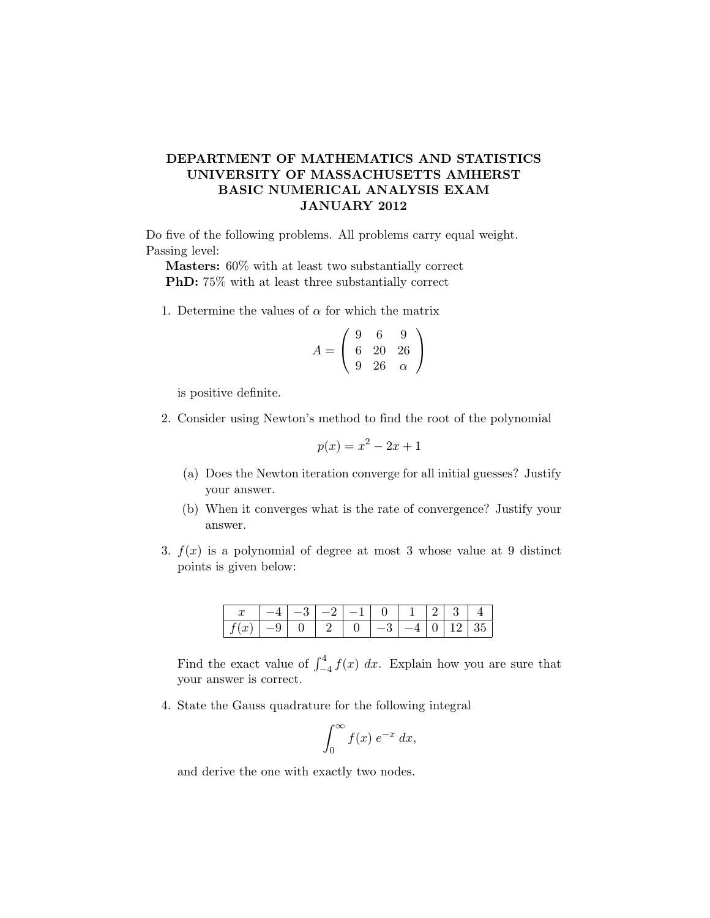## DEPARTMENT OF MATHEMATICS AND STATISTICS UNIVERSITY OF MASSACHUSETTS AMHERST BASIC NUMERICAL ANALYSIS EXAM JANUARY 2012

Do five of the following problems. All problems carry equal weight. Passing level:

Masters: 60% with at least two substantially correct PhD: 75% with at least three substantially correct

1. Determine the values of  $\alpha$  for which the matrix

$$
A = \left(\begin{array}{ccc} 9 & 6 & 9 \\ 6 & 20 & 26 \\ 9 & 26 & \alpha \end{array}\right)
$$

is positive definite.

2. Consider using Newton's method to find the root of the polynomial

$$
p(x) = x^2 - 2x + 1
$$

- (a) Does the Newton iteration converge for all initial guesses? Justify your answer.
- (b) When it converges what is the rate of convergence? Justify your answer.
- 3.  $f(x)$  is a polynomial of degree at most 3 whose value at 9 distinct points is given below:

|                | $\mathbf{Q}$ | ി                   | $-1$ 0 |                                                                |  | $\perp$ 3 |          |
|----------------|--------------|---------------------|--------|----------------------------------------------------------------|--|-----------|----------|
| $-9$ 1 $\cdot$ |              | $0 \perp 2 \perp 0$ |        | $\begin{array}{ccccccccccccccccc}\n1 & 0 & 1 & 1\n\end{array}$ |  |           | $-1213.$ |

Find the exact value of  $\int_{-4}^{4} f(x) dx$ . Explain how you are sure that your answer is correct.

4. State the Gauss quadrature for the following integral

$$
\int_0^\infty f(x) \; e^{-x} \; dx,
$$

and derive the one with exactly two nodes.